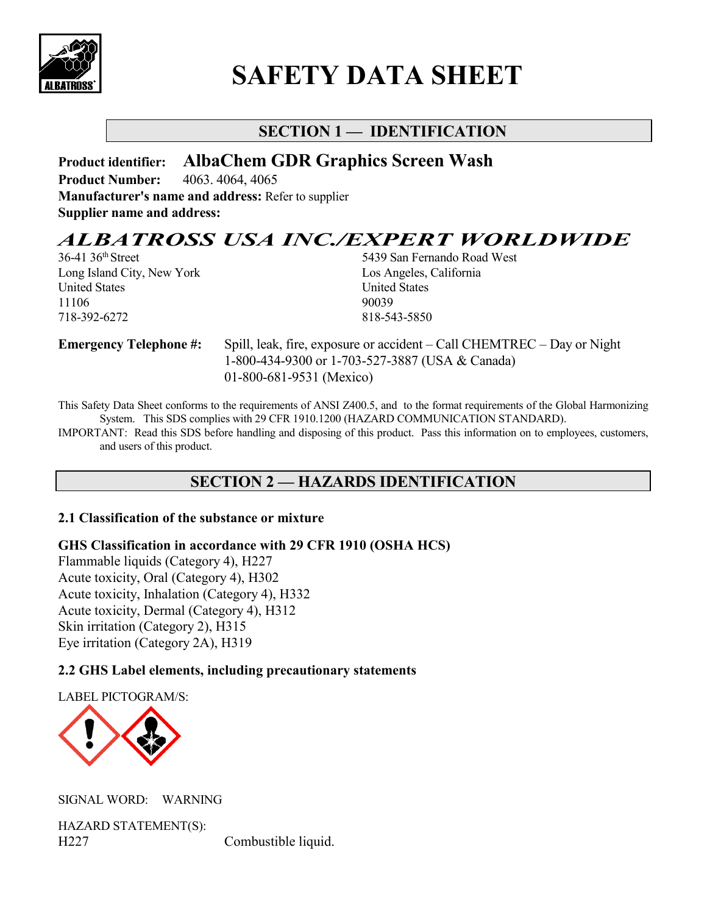

# **SAFETY DATA SHEET**

# **SECTION 1 — IDENTIFICATION**

**Product identifier: AlbaChem GDR Graphics Screen Wash Product Number:** 4063. 4064, 4065 **Manufacturer's name and address:** Refer to supplier **Supplier name and address:**

# *ALBATROSS USA INC./EXPERT WORLDWIDE*<br>36-41 36<sup>th</sup> Street 5439 San Fernando Road West

Long Island City, New York Los Angeles, California United States United States 11106 90039 718-392-6272 818-543-5850

5439 San Fernando Road West

**Emergency Telephone #:** Spill, leak, fire, exposure or accident – Call CHEMTREC – Day or Night 1-800-434-9300 or 1-703-527-3887 (USA & Canada) 01-800-681-9531 (Mexico)

This Safety Data Sheet conforms to the requirements of ANSI Z400.5, and to the format requirements of the Global Harmonizing System. This SDS complies with 29 CFR 1910.1200 (HAZARD COMMUNICATION STANDARD).

IMPORTANT: Read this SDS before handling and disposing of this product. Pass this information on to employees, customers, and users of this product.

## **SECTION 2 — HAZARDS IDENTIFICATION**

#### **2.1 Classification of the substance or mixture**

**GHS Classification in accordance with 29 CFR 1910 (OSHA HCS)** 

Flammable liquids (Category 4), H227 Acute toxicity, Oral (Category 4), H302 Acute toxicity, Inhalation (Category 4), H332 Acute toxicity, Dermal (Category 4), H312 Skin irritation (Category 2), H315 Eye irritation (Category 2A), H319

#### **2.2 GHS Label elements, including precautionary statements**

LABEL PICTOGRAM/S:



SIGNAL WORD: WARNING

HAZARD STATEMENT(S): H227 Combustible liquid.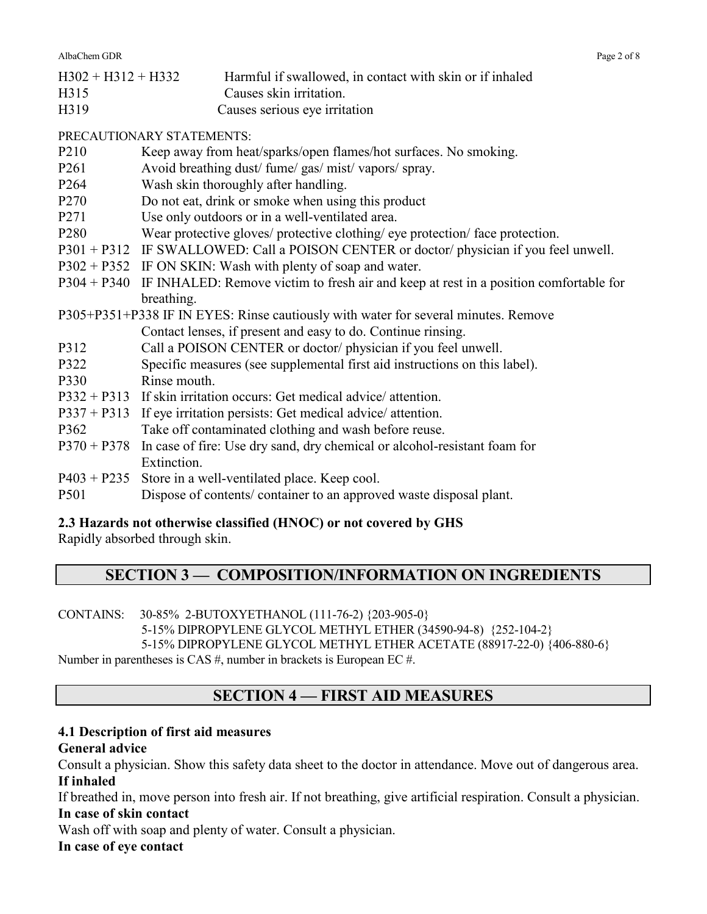AlbaChem GDR Page 2 of 8

| $H302 + H312 + H332$ | Harmful if swallowed, in contact with skin or if inhaled |
|----------------------|----------------------------------------------------------|
| H315                 | Causes skin irritation.                                  |
| H319                 | Causes serious eye irritation                            |

PRECAUTIONARY STATEMENTS:

- P210 Keep away from heat/sparks/open flames/hot surfaces. No smoking.
- P261 Avoid breathing dust/ fume/ gas/ mist/ vapors/ spray.
- P264 Wash skin thoroughly after handling.
- P270 Do not eat, drink or smoke when using this product
- P271 Use only outdoors or in a well-ventilated area.
- P280 Wear protective gloves/ protective clothing/ eye protection/ face protection.
- P301 + P312 IF SWALLOWED: Call a POISON CENTER or doctor/ physician if you feel unwell.
- P302 + P352 IF ON SKIN: Wash with plenty of soap and water.
- P304 + P340 IF INHALED: Remove victim to fresh air and keep at rest in a position comfortable for breathing.

P305+P351+P338 IF IN EYES: Rinse cautiously with water for several minutes. Remove Contact lenses, if present and easy to do. Continue rinsing.

- P312 Call a POISON CENTER or doctor/ physician if you feel unwell.
- P322 Specific measures (see supplemental first aid instructions on this label).
- P330 Rinse mouth.
- P332 + P313 If skin irritation occurs: Get medical advice/ attention.
- P337 + P313 If eye irritation persists: Get medical advice/ attention.
- P362 Take off contaminated clothing and wash before reuse.
- P370 + P378 In case of fire: Use dry sand, dry chemical or alcohol-resistant foam for Extinction.
- P403 + P235 Store in a well-ventilated place. Keep cool.
- P501 Dispose of contents/ container to an approved waste disposal plant.

## **2.3 Hazards not otherwise classified (HNOC) or not covered by GHS**

Rapidly absorbed through skin.

# **SECTION 3 — COMPOSITION/INFORMATION ON INGREDIENTS**

CONTAINS: 30-85% 2-BUTOXYETHANOL (111-76-2) {203-905-0}

5-15% DIPROPYLENE GLYCOL METHYL ETHER (34590-94-8) {252-104-2} 5-15% DIPROPYLENE GLYCOL METHYL ETHER ACETATE (88917-22-0) {406-880-6}

Number in parentheses is CAS #, number in brackets is European EC #.

# **SECTION 4 — FIRST AID MEASURES**

#### **4.1 Description of first aid measures**

#### **General advice**

Consult a physician. Show this safety data sheet to the doctor in attendance. Move out of dangerous area. **If inhaled** 

If breathed in, move person into fresh air. If not breathing, give artificial respiration. Consult a physician. **In case of skin contact** 

Wash off with soap and plenty of water. Consult a physician.

#### **In case of eye contact**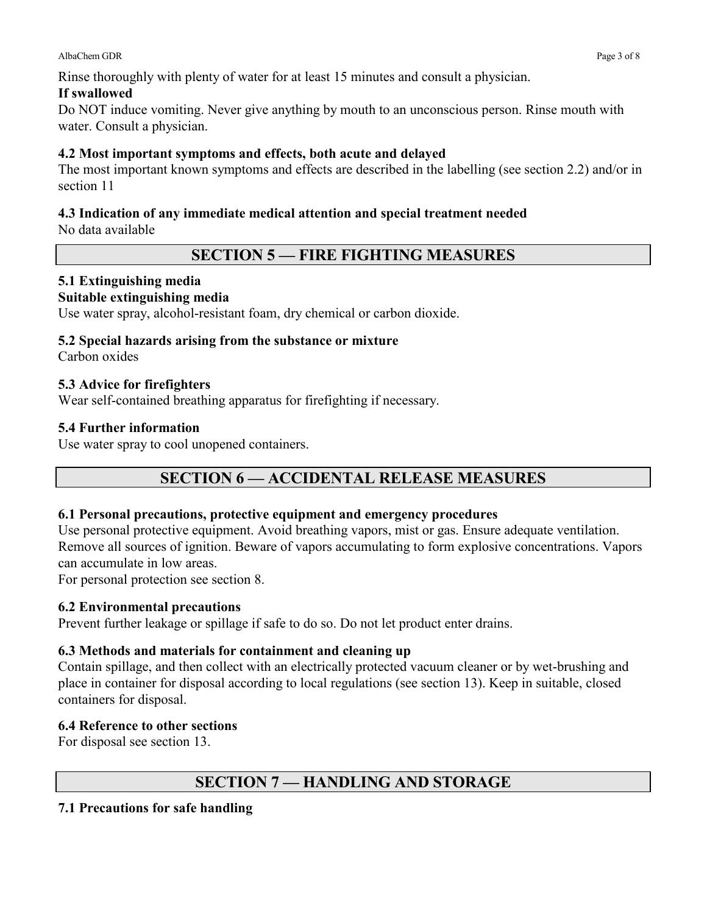Rinse thoroughly with plenty of water for at least 15 minutes and consult a physician.

#### **If swallowed**

Do NOT induce vomiting. Never give anything by mouth to an unconscious person. Rinse mouth with water. Consult a physician.

## **4.2 Most important symptoms and effects, both acute and delayed**

The most important known symptoms and effects are described in the labelling (see section 2.2) and/or in section 11

## **4.3 Indication of any immediate medical attention and special treatment needed**

No data available

## **SECTION 5 — FIRE FIGHTING MEASURES**

## **5.1 Extinguishing media**

#### **Suitable extinguishing media**

Use water spray, alcohol-resistant foam, dry chemical or carbon dioxide.

#### **5.2 Special hazards arising from the substance or mixture**

Carbon oxides

#### **5.3 Advice for firefighters**

Wear self-contained breathing apparatus for firefighting if necessary.

#### **5.4 Further information**

Use water spray to cool unopened containers.

# **SECTION 6 — ACCIDENTAL RELEASE MEASURES**

#### **6.1 Personal precautions, protective equipment and emergency procedures**

Use personal protective equipment. Avoid breathing vapors, mist or gas. Ensure adequate ventilation. Remove all sources of ignition. Beware of vapors accumulating to form explosive concentrations. Vapors can accumulate in low areas.

For personal protection see section 8.

#### **6.2 Environmental precautions**

Prevent further leakage or spillage if safe to do so. Do not let product enter drains.

## **6.3 Methods and materials for containment and cleaning up**

Contain spillage, and then collect with an electrically protected vacuum cleaner or by wet-brushing and place in container for disposal according to local regulations (see section 13). Keep in suitable, closed containers for disposal.

## **6.4 Reference to other sections**

For disposal see section 13.

# **SECTION 7 — HANDLING AND STORAGE**

#### **7.1 Precautions for safe handling**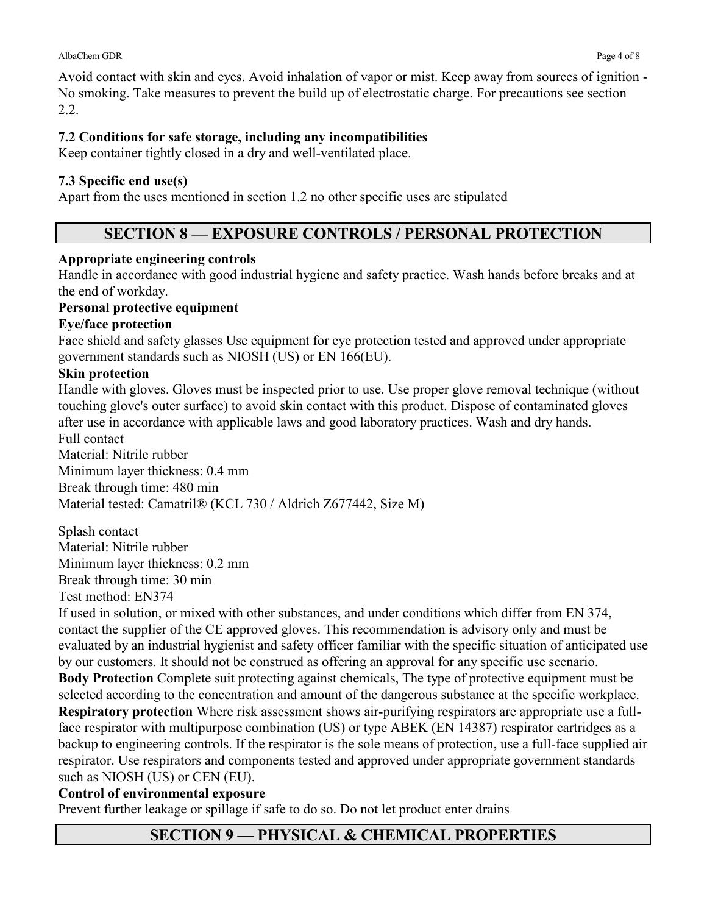2.2.

#### **7.2 Conditions for safe storage, including any incompatibilities**

Keep container tightly closed in a dry and well-ventilated place.

#### **7.3 Specific end use(s)**

Apart from the uses mentioned in section 1.2 no other specific uses are stipulated

## **SECTION 8 — EXPOSURE CONTROLS / PERSONAL PROTECTION**

#### **Appropriate engineering controls**

Handle in accordance with good industrial hygiene and safety practice. Wash hands before breaks and at the end of workday.

#### **Personal protective equipment**

#### **Eye/face protection**

Face shield and safety glasses Use equipment for eye protection tested and approved under appropriate government standards such as NIOSH (US) or EN 166(EU).

#### **Skin protection**

Handle with gloves. Gloves must be inspected prior to use. Use proper glove removal technique (without touching glove's outer surface) to avoid skin contact with this product. Dispose of contaminated gloves after use in accordance with applicable laws and good laboratory practices. Wash and dry hands. Full contact

Material: Nitrile rubber Minimum layer thickness: 0.4 mm Break through time: 480 min Material tested: Camatril® (KCL 730 / Aldrich Z677442, Size M)

Splash contact Material: Nitrile rubber Minimum layer thickness: 0.2 mm Break through time: 30 min Test method: EN374

If used in solution, or mixed with other substances, and under conditions which differ from EN 374, contact the supplier of the CE approved gloves. This recommendation is advisory only and must be evaluated by an industrial hygienist and safety officer familiar with the specific situation of anticipated use by our customers. It should not be construed as offering an approval for any specific use scenario. **Body Protection** Complete suit protecting against chemicals, The type of protective equipment must be selected according to the concentration and amount of the dangerous substance at the specific workplace. **Respiratory protection** Where risk assessment shows air-purifying respirators are appropriate use a fullface respirator with multipurpose combination (US) or type ABEK (EN 14387) respirator cartridges as a backup to engineering controls. If the respirator is the sole means of protection, use a full-face supplied air respirator. Use respirators and components tested and approved under appropriate government standards such as NIOSH (US) or CEN (EU).

#### **Control of environmental exposure**

Prevent further leakage or spillage if safe to do so. Do not let product enter drains

## **SECTION 9 — PHYSICAL & CHEMICAL PROPERTIES**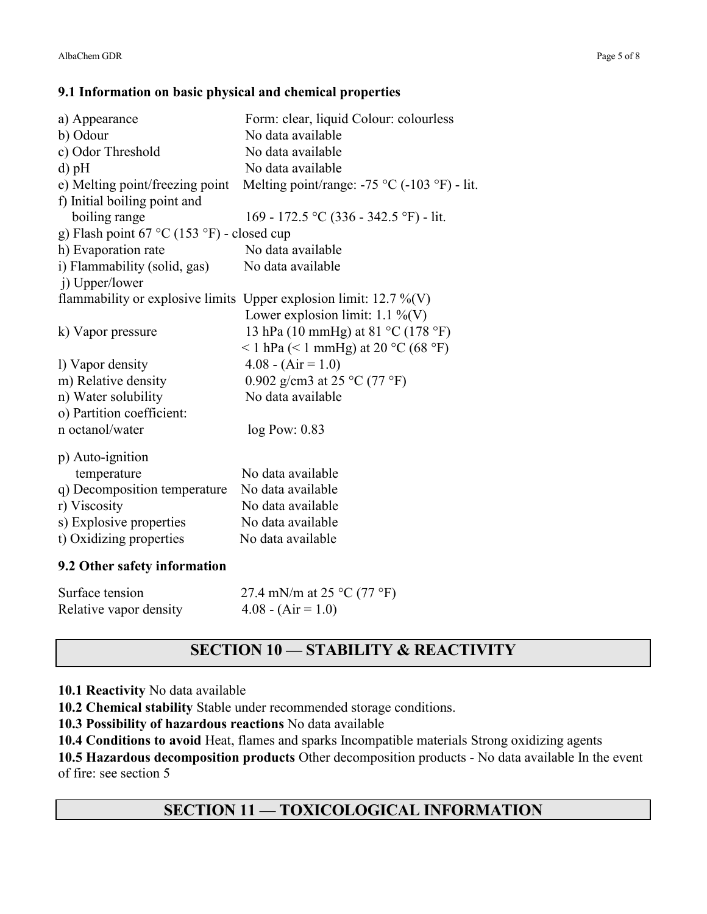#### **9.1 Information on basic physical and chemical properties**

| a) Appearance                              | Form: clear, liquid Colour: colourless                               |  |
|--------------------------------------------|----------------------------------------------------------------------|--|
| b) Odour                                   | No data available                                                    |  |
| c) Odor Threshold                          | No data available                                                    |  |
| $d$ ) pH                                   | No data available                                                    |  |
| e) Melting point/freezing point            | Melting point/range: $-75$ °C ( $-103$ °F) - lit.                    |  |
| f) Initial boiling point and               |                                                                      |  |
| boiling range                              | 169 - 172.5 °C (336 - 342.5 °F) - lit.                               |  |
| g) Flash point 67 °C (153 °F) - closed cup |                                                                      |  |
| h) Evaporation rate                        | No data available                                                    |  |
| i) Flammability (solid, gas)               | No data available                                                    |  |
| j) Upper/lower                             |                                                                      |  |
|                                            | flammability or explosive limits Upper explosion limit: $12.7\%$ (V) |  |
|                                            | Lower explosion limit: $1.1\%$ (V)                                   |  |
| k) Vapor pressure                          | 13 hPa (10 mmHg) at 81 °C (178 °F)                                   |  |
|                                            | <1 hPa (<1 mmHg) at 20 °C (68 °F)                                    |  |
| 1) Vapor density                           | $4.08 - (Air = 1.0)$                                                 |  |
| m) Relative density                        | 0.902 g/cm3 at 25 °C (77 °F)                                         |  |
| n) Water solubility                        | No data available                                                    |  |
| o) Partition coefficient:                  |                                                                      |  |
| n octanol/water                            | $log$ Pow: $0.83$                                                    |  |
| p) Auto-ignition                           |                                                                      |  |
| temperature                                | No data available                                                    |  |
| q) Decomposition temperature               | No data available                                                    |  |
| r) Viscosity                               | No data available                                                    |  |
| s) Explosive properties                    | No data available                                                    |  |
|                                            | No data available                                                    |  |
| t) Oxidizing properties                    |                                                                      |  |
| 9.2 Other safety information               |                                                                      |  |

| Surface tension        | 27.4 mN/m at 25 $^{\circ}$ C (77 $^{\circ}$ F) |
|------------------------|------------------------------------------------|
| Relative vapor density | $4.08 - (Air = 1.0)$                           |

# **SECTION 10 — STABILITY & REACTIVITY**

#### **10.1 Reactivity** No data available

**10.2 Chemical stability** Stable under recommended storage conditions.

**10.3 Possibility of hazardous reactions** No data available

**10.4 Conditions to avoid** Heat, flames and sparks Incompatible materials Strong oxidizing agents

**10.5 Hazardous decomposition products** Other decomposition products - No data available In the event of fire: see section 5

## **SECTION 11 — TOXICOLOGICAL INFORMATION**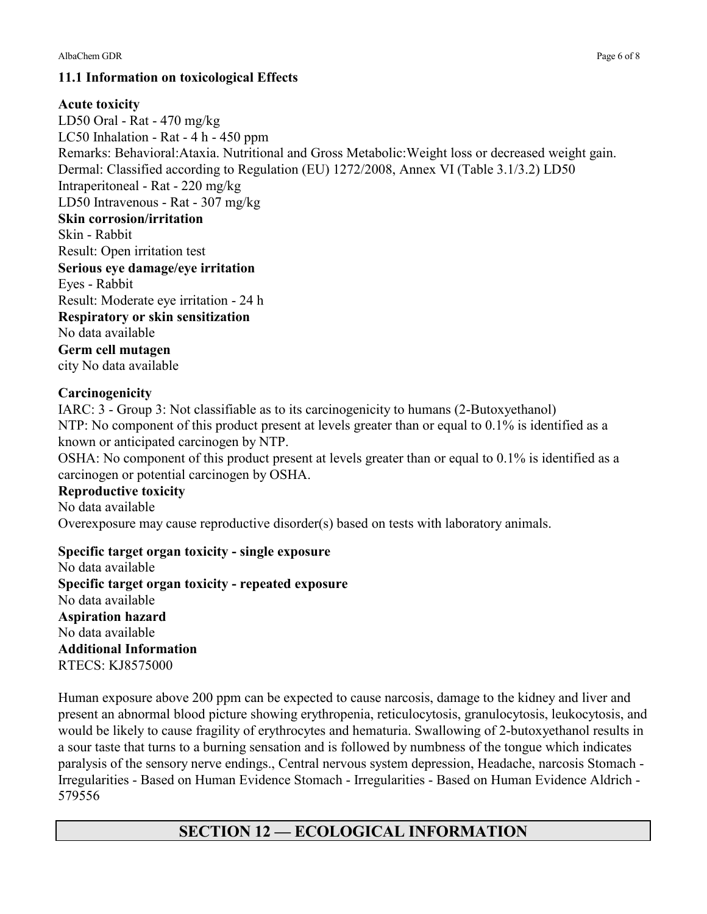#### **11.1 Information on toxicological Effects**

#### **Acute toxicity**

LD50 Oral - Rat - 470 mg/kg LC50 Inhalation - Rat - 4 h - 450 ppm Remarks: Behavioral:Ataxia. Nutritional and Gross Metabolic:Weight loss or decreased weight gain. Dermal: Classified according to Regulation (EU) 1272/2008, Annex VI (Table 3.1/3.2) LD50 Intraperitoneal - Rat - 220 mg/kg LD50 Intravenous - Rat - 307 mg/kg **Skin corrosion/irritation**  Skin - Rabbit Result: Open irritation test **Serious eye damage/eye irritation**  Eyes - Rabbit Result: Moderate eye irritation - 24 h **Respiratory or skin sensitization**  No data available **Germ cell mutagen**  city No data available

#### **Carcinogenicity**

IARC: 3 - Group 3: Not classifiable as to its carcinogenicity to humans (2-Butoxyethanol) NTP: No component of this product present at levels greater than or equal to  $0.1\%$  is identified as a known or anticipated carcinogen by NTP.

OSHA: No component of this product present at levels greater than or equal to 0.1% is identified as a carcinogen or potential carcinogen by OSHA.

#### **Reproductive toxicity**

No data available Overexposure may cause reproductive disorder(s) based on tests with laboratory animals.

#### **Specific target organ toxicity - single exposure**

No data available **Specific target organ toxicity - repeated exposure**  No data available **Aspiration hazard**  No data available **Additional Information**  RTECS: KJ8575000

Human exposure above 200 ppm can be expected to cause narcosis, damage to the kidney and liver and present an abnormal blood picture showing erythropenia, reticulocytosis, granulocytosis, leukocytosis, and would be likely to cause fragility of erythrocytes and hematuria. Swallowing of 2-butoxyethanol results in a sour taste that turns to a burning sensation and is followed by numbness of the tongue which indicates paralysis of the sensory nerve endings., Central nervous system depression, Headache, narcosis Stomach - Irregularities - Based on Human Evidence Stomach - Irregularities - Based on Human Evidence Aldrich - 579556

## **SECTION 12 — ECOLOGICAL INFORMATION**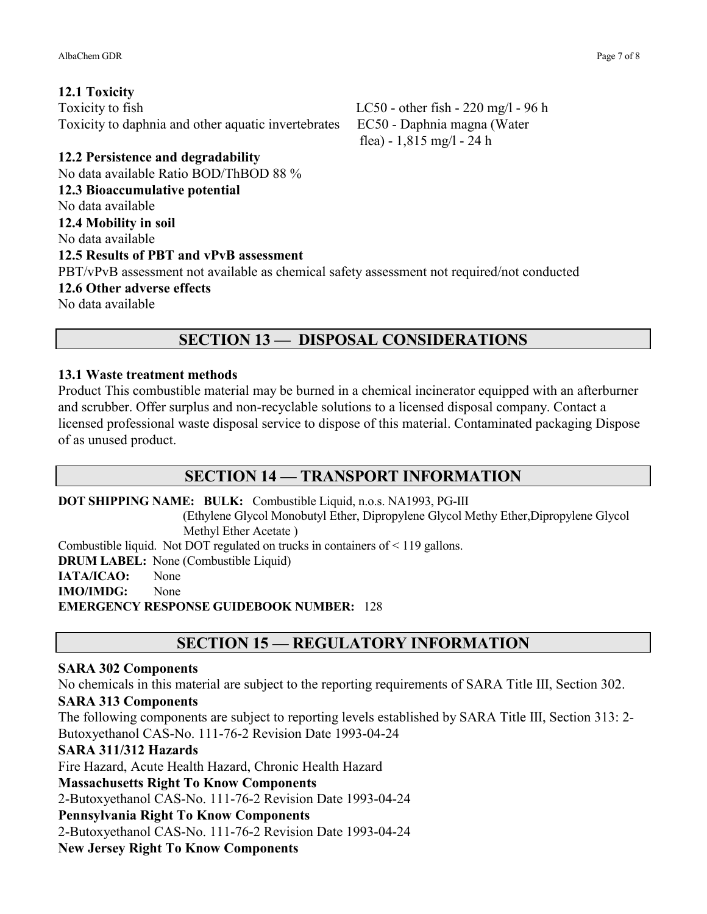Toxicity to fish  $LC50$  - other fish - 220 mg/l - 96 h Toxicity to daphnia and other aquatic invertebrates EC50 - Daphnia magna (Water

flea) - 1,815 mg/l - 24 h

**12.2 Persistence and degradability**  No data available Ratio BOD/ThBOD 88 %

**12.3 Bioaccumulative potential** 

No data available **12.4 Mobility in soil** 

No data available

#### **12.5 Results of PBT and vPvB assessment**

PBT/vPvB assessment not available as chemical safety assessment not required/not conducted

**12.6 Other adverse effects** 

No data available

## **SECTION 13 — DISPOSAL CONSIDERATIONS**

#### **13.1 Waste treatment methods**

Product This combustible material may be burned in a chemical incinerator equipped with an afterburner and scrubber. Offer surplus and non-recyclable solutions to a licensed disposal company. Contact a licensed professional waste disposal service to dispose of this material. Contaminated packaging Dispose of as unused product.

## **SECTION 14 — TRANSPORT INFORMATION**

**DOT SHIPPING NAME: BULK:** Combustible Liquid, n.o.s. NA1993, PG-III

(Ethylene Glycol Monobutyl Ether, Dipropylene Glycol Methy Ether,Dipropylene Glycol Methyl Ether Acetate )

Combustible liquid. Not DOT regulated on trucks in containers of < 119 gallons.

**DRUM LABEL:** None (Combustible Liquid)

IATA/ICAO: None

**IMO/IMDG:** None

**EMERGENCY RESPONSE GUIDEBOOK NUMBER:** 128

## **SECTION 15 — REGULATORY INFORMATION**

#### **SARA 302 Components**

No chemicals in this material are subject to the reporting requirements of SARA Title III, Section 302.

#### **SARA 313 Components**

The following components are subject to reporting levels established by SARA Title III, Section 313: 2- Butoxyethanol CAS-No. 111-76-2 Revision Date 1993-04-24

#### **SARA 311/312 Hazards**

Fire Hazard, Acute Health Hazard, Chronic Health Hazard

## **Massachusetts Right To Know Components**

2-Butoxyethanol CAS-No. 111-76-2 Revision Date 1993-04-24

## **Pennsylvania Right To Know Components**

2-Butoxyethanol CAS-No. 111-76-2 Revision Date 1993-04-24

**New Jersey Right To Know Components**